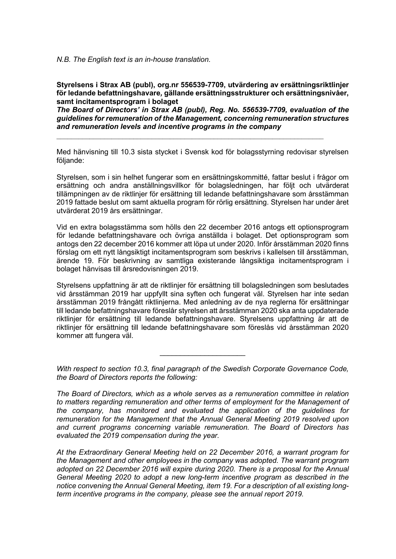*N.B. The English text is an in-house translation.*

**Styrelsens i Strax AB (publ), org.nr 556539-7709, utvärdering av ersättningsriktlinjer för ledande befattningshavare***,* **gällande ersättningsstrukturer och ersättningsnivåer, samt incitamentsprogram i bolaget**

*The Board of Directors' in Strax AB (publ), Reg. No. 556539-7709, evaluation of the guidelines for remuneration of the Management, concerning remuneration structures and remuneration levels and incentive programs in the company*

 $\_$  , and the set of the set of the set of the set of the set of the set of the set of the set of the set of the set of the set of the set of the set of the set of the set of the set of the set of the set of the set of th

Med hänvisning till 10.3 sista stycket i Svensk kod för bolagsstyrning redovisar styrelsen följande:

Styrelsen, som i sin helhet fungerar som en ersättningskommitté, fattar beslut i frågor om ersättning och andra anställningsvillkor för bolagsledningen, har följt och utvärderat tillämpningen av de riktlinjer för ersättning till ledande befattningshavare som årsstämman 2019 fattade beslut om samt aktuella program för rörlig ersättning. Styrelsen har under året utvärderat 2019 års ersättningar.

Vid en extra bolagsstämma som hölls den 22 december 2016 antogs ett optionsprogram för ledande befattningshavare och övriga anställda i bolaget. Det optionsprogram som antogs den 22 december 2016 kommer att löpa ut under 2020. Inför årsstämman 2020 finns förslag om ett nytt långsiktigt incitamentsprogram som beskrivs i kallelsen till årsstämman, ärende 19. För beskrivning av samtliga existerande långsiktiga incitamentsprogram i bolaget hänvisas till årsredovisningen 2019.

Styrelsens uppfattning är att de riktlinjer för ersättning till bolagsledningen som beslutades vid årsstämman 2019 har uppfyllt sina syften och fungerat väl. Styrelsen har inte sedan årsstämman 2019 frångått riktlinjerna. Med anledning av de nya reglerna för ersättningar till ledande befattningshavare föreslår styrelsen att årsstämman 2020 ska anta uppdaterade riktlinjer för ersättning till ledande befattningshavare. Styrelsens uppfattning är att de riktlinjer för ersättning till ledande befattningshavare som föreslås vid årsstämman 2020 kommer att fungera väl.

*With respect to section 10.3, final paragraph of the Swedish Corporate Governance Code, the Board of Directors reports the following:*

\_\_\_\_\_\_\_\_\_\_\_\_\_\_\_\_\_\_\_\_\_

*The Board of Directors, which as a whole serves as a remuneration committee in relation to matters regarding remuneration and other terms of employment for the Management of the company, has monitored and evaluated the application of the guidelines for remuneration for the Management that the Annual General Meeting 2019 resolved upon and current programs concerning variable remuneration. The Board of Directors has evaluated the 2019 compensation during the year.*

*At the Extraordinary General Meeting held on 22 December 2016, a warrant program for the Management and other employees in the company was adopted. The warrant program adopted on 22 December 2016 will expire during 2020. There is a proposal for the Annual General Meeting 2020 to adopt a new long-term incentive program as described in the notice convening the Annual General Meeting, item 19. For a description of all existing longterm incentive programs in the company, please see the annual report 2019.*